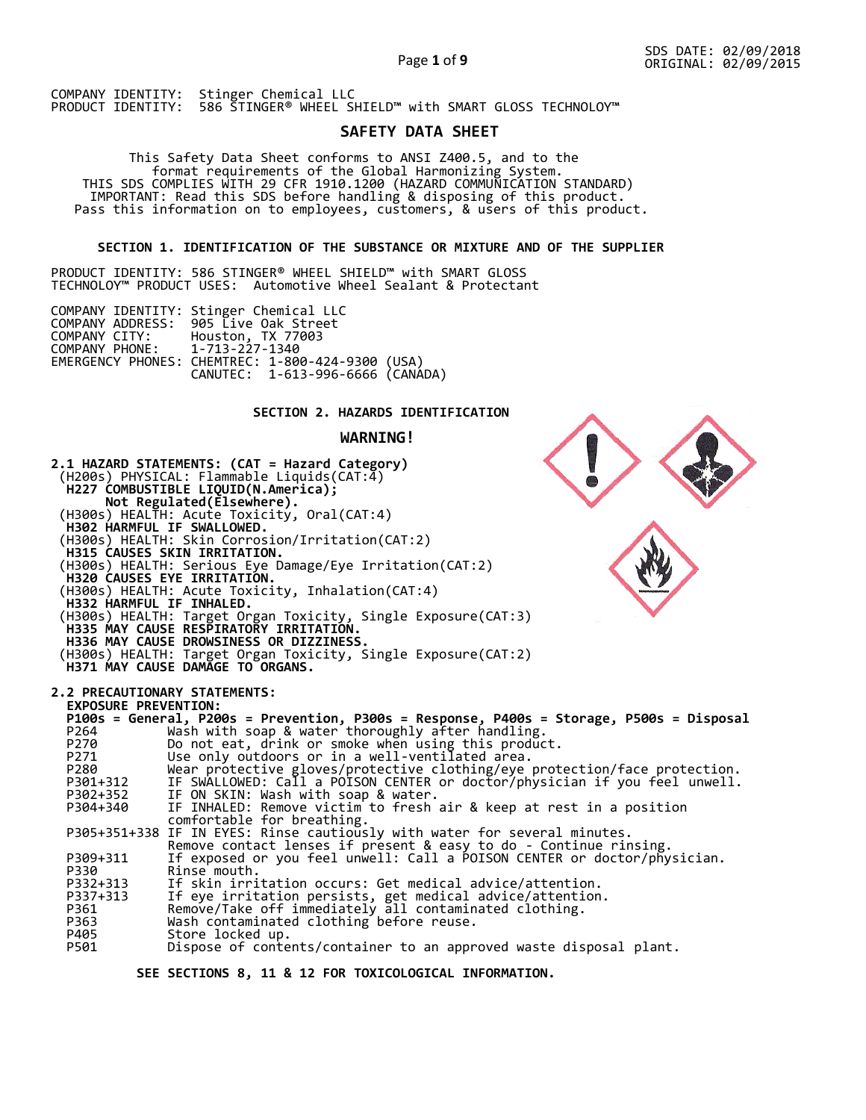### Page **1** of **9**

COMPANY IDENTITY: Stinger Chemical LLC PRODUCT IDENTITY: 586 STINGER® WHEEL SHIELD™ with SMART GLOSS TECHNOLOY™

# **SAFETY DATA SHEET**

 This Safety Data Sheet conforms to ANSI Z400.5, and to the format requirements of the Global Harmonizing System. THIS SDS COMPLIES WITH 29 CFR 1910.1200 (HAZARD COMMUNICATION STANDARD) IMPORTANT: Read this SDS before handling & disposing of this product. Pass this information on to employees, customers, & users of this product.

# **SECTION 1. IDENTIFICATION OF THE SUBSTANCE OR MIXTURE AND OF THE SUPPLIER**

PRODUCT IDENTITY: 586 STINGER® WHEEL SHIELD™ with SMART GLOSS TECHNOLOY™ PRODUCT USES: Automotive Wheel Sealant & Protectant

|                               | COMPANY IDENTITY: Stinger Chemical LLC           |  |
|-------------------------------|--------------------------------------------------|--|
|                               | COMPANY ADDRESS: 905 Live Oak Street             |  |
| COMPANY CITY:                 | Houston, TX 77003                                |  |
| COMPANY PHONE: 1-713-227-1340 |                                                  |  |
|                               | EMERGENCY PHONES: CHEMTREC: 1-800-424-9300 (USA) |  |
|                               | CANUTEC: 1-613-996-6666 (CANÁDA)                 |  |

## **SECTION 2. HAZARDS IDENTIFICATION**

## **WARNING!**



 **SEE SECTIONS 8, 11 & 12 FOR TOXICOLOGICAL INFORMATION.**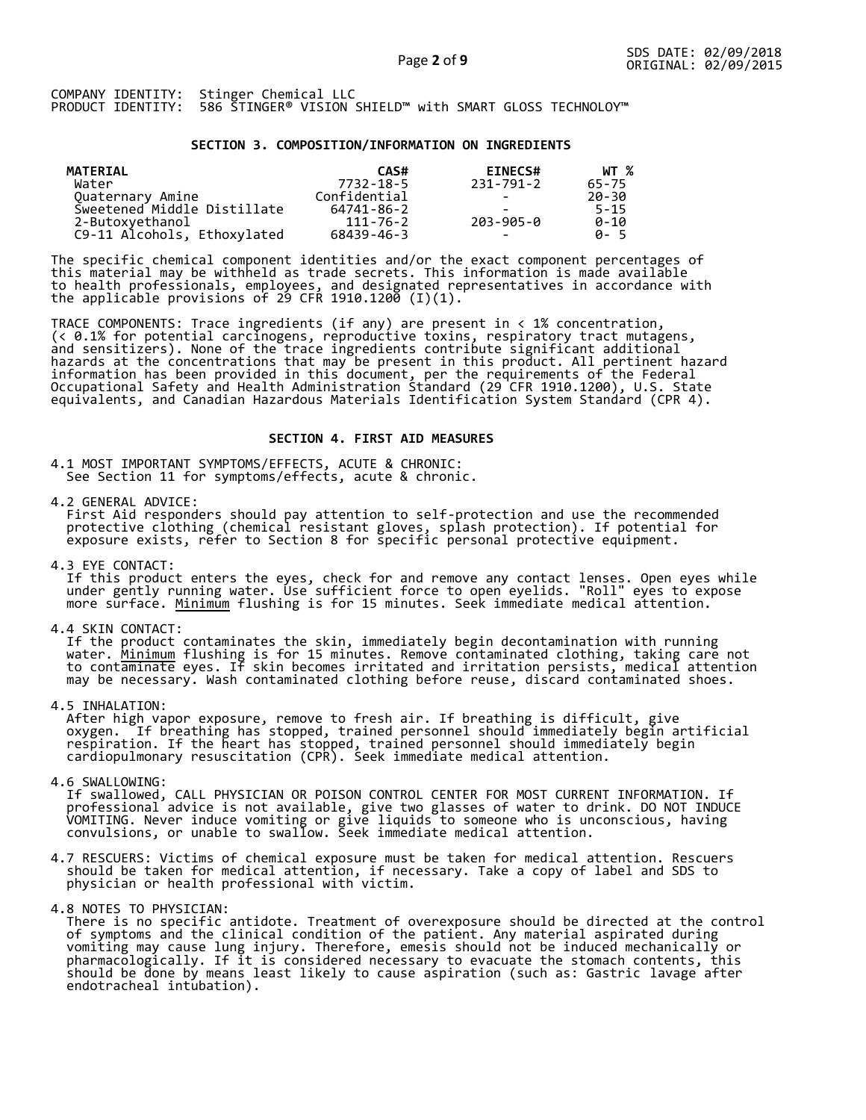#### **SECTION 3. COMPOSITION/INFORMATION ON INGREDIENTS**

| MATERIAL                    | CAS#           | <b>EINECS#</b>           | WT %     |
|-----------------------------|----------------|--------------------------|----------|
| Water                       | 7732-18-5      | 231-791-2                | 65-75    |
| Quaternary Amine            | Confidential   | $\overline{\phantom{0}}$ | 20-30    |
| Sweetened Middle Distillate | 64741-86-2     | -                        | $5 - 15$ |
| 2-Butoxyethanol             | $111 - 76 - 2$ | 203-905-0                | $0 - 10$ |
| C9-11 Alcohols, Ethoxylated | 68439-46-3     | $\overline{\phantom{0}}$ | A-5      |

The specific chemical component identities and/or the exact component percentages of this material may be withheld as trade secrets. This information is made available to health professionals, employees, and designated representatives in accordance with the applicable provisions of 29 CFR 1910.1200̄ (I)(1).  $\overline{\phantom{a}}$ 

TRACE COMPONENTS: Trace ingredients (if any) are present in < 1% concentration, (< 0.1% for potential carcinogens, reproductive toxins, respiratory tract mutagens, and sensitizers). None of the trace ingredients contribute significant additional hazards at the concentrations that may be present in this product. All pertinent hazard information has been provided in this document, per the requirements of the Federal Occupational Safety and Health Administration Standard (29 CFR 1910.1200), U.S. State equivalents, and Canadian Hazardous Materials Identification System Standard (CPR 4).

### **SECTION 4. FIRST AID MEASURES**

4.1 MOST IMPORTANT SYMPTOMS/EFFECTS, ACUTE & CHRONIC: See Section 11 for symptoms/effects, acute & chronic.

4.2 GENERAL ADVICE:

 First Aid responders should pay attention to self-protection and use the recommended protective clothing (chemical resistant gloves, splash protection). If potential for exposure exists, refer to Section 8 for specific personal protective equipment.

4.3 EYE CONTACT:

 If this product enters the eyes, check for and remove any contact lenses. Open eyes while under gently running water. Use sufficient force to open eyelids. "Roll" eyes to expose more surface. <u>Minimum</u> flushing is for 15 minutes. Seek immediate medical attention.

4.4 SKIN CONTACT:

 If the product contaminates the skin, immediately begin decontamination with running water. <u>Minimum</u> flushing is for 15 minutes. Remove contaminated clothing, taking care not to contaminate eyes. If skin becomes irritated and irritation persists, medical attention may be necessary. Wash contaminated clothing before reuse, discard contaminated shoes.

4.5 INHALATION:

 After high vapor exposure, remove to fresh air. If breathing is difficult, give oxygen. If breathing has stopped, trained personnel should immediately begin artificial respiration. If the heart has stopped, trained personnel should immediately begin cardiopulmonary resuscitation (CPR). Seek immediate medical attention.

4.6 SWALLOWING:

 If swallowed, CALL PHYSICIAN OR POISON CONTROL CENTER FOR MOST CURRENT INFORMATION. If professional advice is not available, give two glasses of water to drink. DO NOT INDUCE VOMITING. Never induce vomiting or give liquids to someone who is unconscious, having convulsions, or unable to swallow. Seek immediate medical attention.

- 4.7 RESCUERS: Victims of chemical exposure must be taken for medical attention. Rescuers should be taken for medical attention, if necessary. Take a copy of label and SDS to physician or health professional with victim.
- 4.8 NOTES TO PHYSICIAN:
- There is no specific antidote. Treatment of overexposure should be directed at the control of symptoms and the clinical condition of the patient. Any material aspirated during vomiting may cause lung injury. Therefore, emesis should not be induced mechanically or pharmacologically. If it is considered necessary to evacuate the stomach contents, this should be done by means least likely to cause aspiration (such as: Gastric lavage after endotracheal intubation).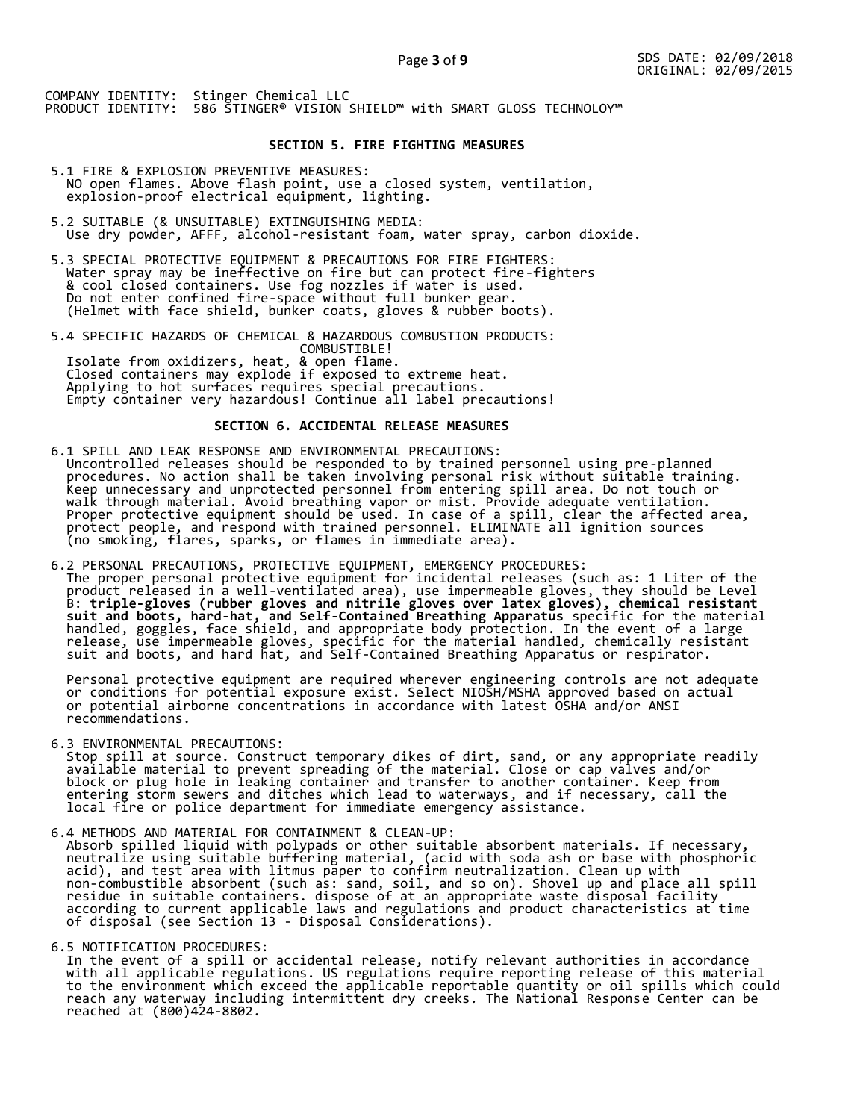## **SECTION 5. FIRE FIGHTING MEASURES**

- 5.1 FIRE & EXPLOSION PREVENTIVE MEASURES: NO open flames. Above flash point, use a closed system, ventilation, explosion-proof electrical equipment, lighting.
- 5.2 SUITABLE (& UNSUITABLE) EXTINGUISHING MEDIA: Use dry powder, AFFF, alcohol-resistant foam, water spray, carbon dioxide.
- 5.3 SPECIAL PROTECTIVE EQUIPMENT & PRECAUTIONS FOR FIRE FIGHTERS: Water spray may be ineffective on fire but can protect fire-fighters & cool closed containers. Use fog nozzles if water is used. Do not enter confined fire-space without full bunker gear. (Helmet with face shield, bunker coats, gloves & rubber boots).
- 5.4 SPECIFIC HAZARDS OF CHEMICAL & HAZARDOUS COMBUSTION PRODUCTS: COMBUSTIBLE! Isolate from oxidizers, heat, & open flame. Closed containers may explode if exposed to extreme heat. Applying to hot surfaces requires special precautions. Empty container very hazardous! Continue all label precautions!

# **SECTION 6. ACCIDENTAL RELEASE MEASURES**

- 6.1 SPILL AND LEAK RESPONSE AND ENVIRONMENTAL PRECAUTIONS: Uncontrolled releases should be responded to by trained personnel using pre-planned procedures. No action shall be taken involving personal risk without suitable training. Keep unnecessary and unprotected personnel from entering spill area. Do not touch or walk through material. Avoid breathing vapor or mist. Provide adequate ventilation. Proper protective equipment should be used. In case of a spill, clear the affected area, protect people, and respond with trained personnel. ELIMINATE all ignition sources (no smoking, flares, sparks, or flames in immediate area).
- 6.2 PERSONAL PRECAUTIONS, PROTECTIVE EQUIPMENT, EMERGENCY PROCEDURES: The proper personal protective equipment for incidental releases (such as: 1 Liter of the product released in a well-ventilated area), use impermeable gloves, they should be Level B: **triple-gloves (rubber gloves and nitrile gloves over latex gloves), chemical resistant suit and boots, hard-hat, and Self-Contained Breathing Apparatus** specific for the material handled, goggles, face shield, and appropriate body protection. In the event of a large release, use impermeable gloves, specific for the material handled, chemically resistant suit and boots, and hard hat, and Self-Contained Breathing Apparatus or respirator.

 Personal protective equipment are required wherever engineering controls are not adequate or conditions for potential exposure exist. Select NIOSH/MSHA approved based on actual or potential airborne concentrations in accordance with latest OSHA and/or ANSI recommendations.

6.3 ENVIRONMENTAL PRECAUTIONS:

 Stop spill at source. Construct temporary dikes of dirt, sand, or any appropriate readily available material to prevent spreading of the material. Close or cap valves and/or block or plug hole in leaking container and transfer to another container. Keep from entering storm sewers and ditches which lead to waterways, and if necessary, call the local fire or police department for immediate emergency assistance.

6.4 METHODS AND MATERIAL FOR CONTAINMENT & CLEAN-UP:

 Absorb spilled liquid with polypads or other suitable absorbent materials. If necessary, neutralize using suitable buffering material, (acid with soda ash or base with phosphoric acid), and test area with litmus paper to confirm neutralization. Clean up with non-combustible absorbent (such as: sand, soil, and so on). Shovel up and place all spill residue in suitable containers. dispose of at an appropriate waste disposal facility according to current applicable laws and regulations and product characteristics at time of disposal (see Section 13 - Disposal Considerations).

#### 6.5 NOTIFICATION PROCEDURES:

 In the event of a spill or accidental release, notify relevant authorities in accordance with all applicable regulations. US regulations require reporting release of this material to the environment which exceed the applicable reportable quantity or oil spills which could reach any waterway including intermittent dry creeks. The National Response Center can be reached at (800)424-8802.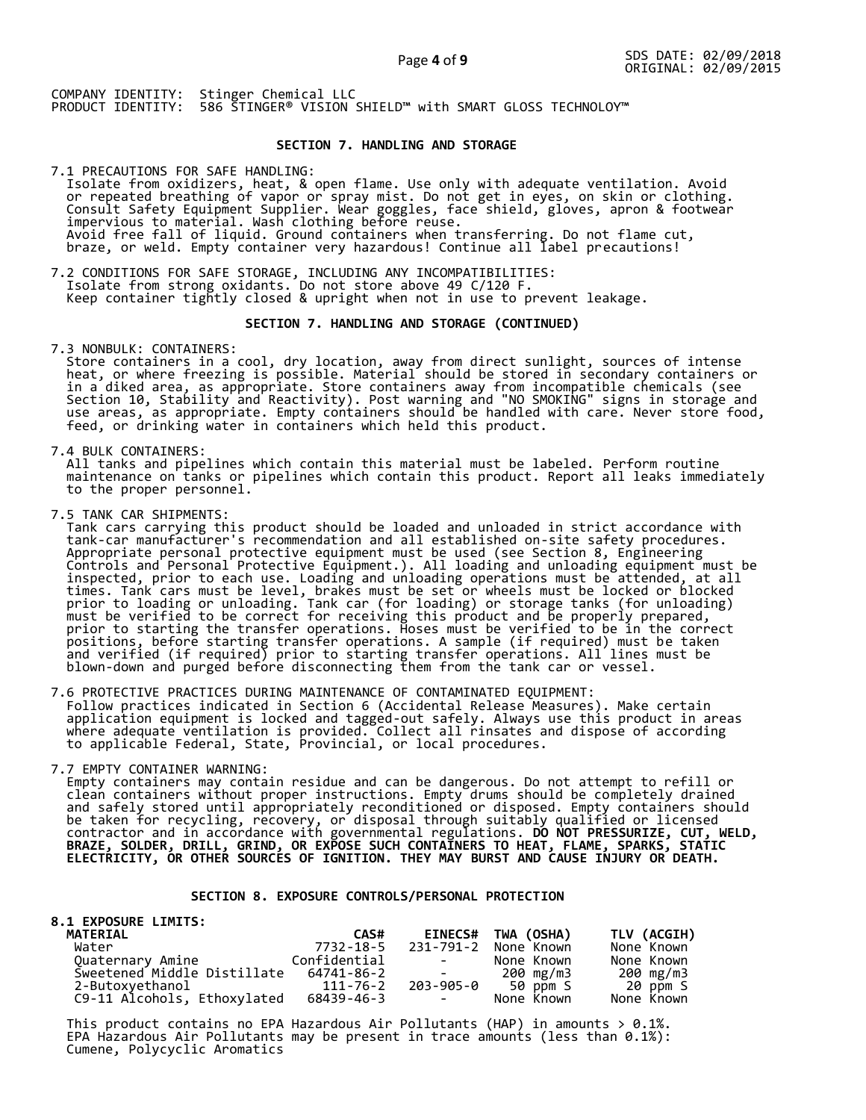## **SECTION 7. HANDLING AND STORAGE**

7.1 PRECAUTIONS FOR SAFE HANDLING: Isolate from oxidizers, heat, & open flame. Use only with adequate ventilation. Avoid or repeated breathing of vapor or spray mist. Do not get in eyes, on skin or clothing. Consult Safety Equipment Supplier. Wear goggles, face shield, gloves, apron & footwear impervious to material. Wash clothing before reuse. Avoid free fall of liquid. Ground containers when transferring. Do not flame cut, braze, or weld. Empty container very hazardous! Continue all label precautions!

7.2 CONDITIONS FOR SAFE STORAGE, INCLUDING ANY INCOMPATIBILITIES: Isolate from strong oxidants. Do not store above 49 C/120 F. Keep container tightly closed & upright when not in use to prevent leakage.

## **SECTION 7. HANDLING AND STORAGE (CONTINUED)**

7.3 NONBULK: CONTAINERS:

 Store containers in a cool, dry location, away from direct sunlight, sources of intense heat, or where freezing is possible. Material should be stored in secondary containers or in a diked area, as appropriate. Store containers away from incompatible chemicals (see Section 10, Stability and Reactivity). Post warning and "NO SMOKING" signs in storage and use areas, as appropriate. Empty containers should be handled with care. Never store food, feed, or drinking water in containers which held this product.

7.4 BULK CONTAINERS:

 All tanks and pipelines which contain this material must be labeled. Perform routine maintenance on tanks or pipelines which contain this product. Report all leaks immediately to the proper personnel.

7.5 TANK CAR SHIPMENTS:

 Tank cars carrying this product should be loaded and unloaded in strict accordance with tank-car manufacturer's recommendation and all established on-site safety procedures. Appropriate personal protective equipment must be used (see Section 8, Engineering Controls and Personal Protective Equipment.). All loading and unloading equipment must be inspected, prior to each use. Loading and unloading operations must be attended, at all times. Tank cars must be level, brakes must be set or wheels must be locked or blocked prior to loading or unloading. Tank car (for loading) or storage tanks (for unloading) must be verified to be correct for receiving this product and be properly prepared, prior to starting the transfer operations. Hoses must be verified to be in the correct positions, before starting transfer operations. A sample (if required) must be taken and verified (if required) prior to starting transfer operations. All lines must be blown-down and purged before disconnecting them from the tank car or vessel.

7.6 PROTECTIVE PRACTICES DURING MAINTENANCE OF CONTAMINATED EQUIPMENT: Follow practices indicated in Section 6 (Accidental Release Measures). Make certain application equipment is locked and tagged-out safely. Always use this product in areas where adequate ventilation is provided. Collect all rinsates and dispose of according to applicable Federal, State, Provincial, or local procedures.

7.7 EMPTY CONTAINER WARNING:

 Empty containers may contain residue and can be dangerous. Do not attempt to refill or clean containers without proper instructions. Empty drums should be completely drained and safely stored until appropriately reconditioned or disposed. Empty containers should be taken for recycling, recovery, or disposal through suitably qualified or licensed contractor and in accordance with governmental regulations. **DO NOT PRESSURIZE, CUT, WELD, BRAZE, SOLDER, DRILL, GRIND, OR EXPOSE SUCH CONTAINERS TO HEAT, FLAME, SPARKS, STATIC ELECTRICITY, OR OTHER SOURCES OF IGNITION. THEY MAY BURST AND CAUSE INJURY OR DEATH.**

# **SECTION 8. EXPOSURE CONTROLS/PERSONAL PROTECTION**

| <b>8.1 EXPOSURE LIMITS:</b> |              |                                                                                                   |                    |             |
|-----------------------------|--------------|---------------------------------------------------------------------------------------------------|--------------------|-------------|
| <b>MATERIAL</b>             | CAS#         |                                                                                                   | EINECS# TWA (OSHA) | TLV (ACGIH) |
| Water                       | 7732-18-5    | 231-791-2                                                                                         | None Known         | None Known  |
| Quaternary Amine            | Confidential | <b>Contract Contract</b>                                                                          | None Known         | None Known  |
| Sweetened Middle Distillate | 64741-86-2   | $\mathcal{L}_{\text{max}}$ and $\mathcal{L}_{\text{max}}$ . The set of $\mathcal{L}_{\text{max}}$ | 200 mg/m3          | 200 mg/m3   |
| 2-Butoxyethanol             | 111-76-2     |                                                                                                   | 203-905-0 50 ppm S | 20 ppm S    |
| C9-11 Alcohols, Ethoxylated | 68439-46-3   | <b>Contract Contract</b>                                                                          | None Known         | None Known  |

This product contains no EPA Hazardous Air Pollutants (HAP) in amounts  $> 0.1\%$ . EPA Hazardous Air Pollutants may be present in trace amounts (less than 0.1%): Cumene, Polycyclic Aromatics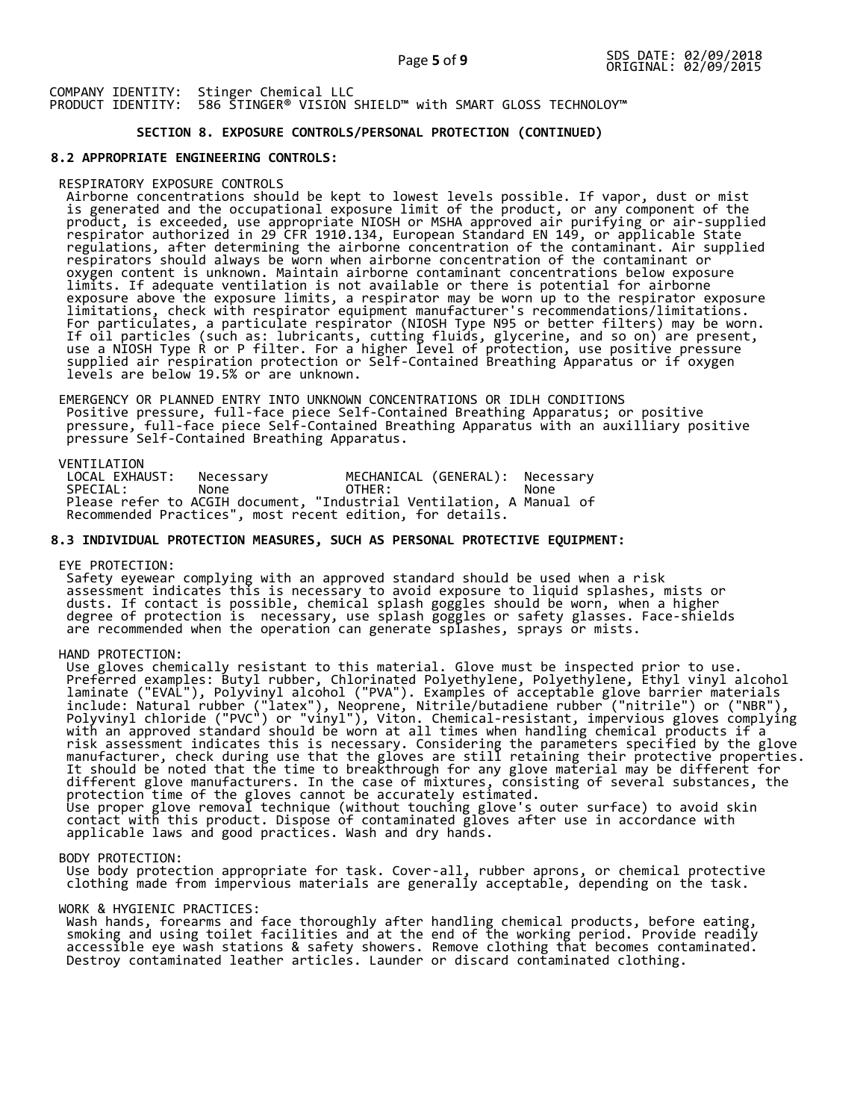# **SECTION 8. EXPOSURE CONTROLS/PERSONAL PROTECTION (CONTINUED)**

#### **8.2 APPROPRIATE ENGINEERING CONTROLS:**

#### RESPIRATORY EXPOSURE CONTROLS

 Airborne concentrations should be kept to lowest levels possible. If vapor, dust or mist is generated and the occupational exposure limit of the product, or any component of the product, is exceeded, use appropriate NIOSH or MSHA approved air purifying or air-supplied respirator authorized in 29 CFR 1910.134, European Standard EN 149, or applicable State regulations, after determining the airborne concentration of the contaminant. Air supplied respirators should always be worn when airborne concentration of the contaminant or oxygen content is unknown. Maintain airborne contaminant concentrations below exposure limits. If adequate ventilation is not available or there is potential for airborne exposure above the exposure limits, a respirator may be worn up to the respirator exposure limitations, check with respirator equipment manufacturer's recommendations/limitations. For particulates, a particulate respirator (NIOSH Type N95 or better filters) may be worn. If oil particles (such as: lubricants, cutting fluids, glycerine, and so on) are present, use a NIOSH Type R or P filter. For a higher level of protection, use positive pressure supplied air respiration protection or Self-Contained Breathing Apparatus or if oxygen levels are below 19.5% or are unknown.

 EMERGENCY OR PLANNED ENTRY INTO UNKNOWN CONCENTRATIONS OR IDLH CONDITIONS Positive pressure, full-face piece Self-Contained Breathing Apparatus; or positive pressure, full-face piece Self-Contained Breathing Apparatus with an auxilliary positive pressure Self-Contained Breathing Apparatus.

VENTILATION<br>LOCAL EXHAUST: LOCAL EXHAUST: Necessary MECHANICAL (GENERAL): Necessary SPECIAL: None OTHER: None Please refer to ACGIH document, "Industrial Ventilation, A Manual of Recommended Practices", most recent edition, for details.

#### **8.3 INDIVIDUAL PROTECTION MEASURES, SUCH AS PERSONAL PROTECTIVE EQUIPMENT:**

#### EYE PROTECTION:

 Safety eyewear complying with an approved standard should be used when a risk assessment indicates this is necessary to avoid exposure to liquid splashes, mists or dusts. If contact is possible, chemical splash goggles should be worn, when a higher degree of protection is necessary, use splash goggles or safety glasses. Face-shields are recommended when the operation can generate splashes, sprays or mists.

# HAND PROTECTION:

 Use gloves chemically resistant to this material. Glove must be inspected prior to use. Preferred examples: Butyl rubber, Chlorinated Polyethylene, Polyethylene, Ethyl vinyl alcohol laminate ("EVAL"), Polyvinyl alcohol ("PVA"). Examples of acceptable glove barrier materials include: Natural rubber ("latex"), Neoprene, Nitrile/butadiene rubber ("nitrile") or ("NBR"), Polyvinyl chloride ("PVC") or "vinyl"), Viton. Chemical-resistant, impervious gloves complying with an approved standard should be worn at all times when handling chemical products if a risk assessment indicates this is necessary. Considering the parameters specified by the glove manufacturer, check during use that the gloves are still retaining their protective properties. It should be noted that the time to breakthrough for any glove material may be different for different glove manufacturers. In the case of mixtures, consisting of several substances, the protection time of the gloves cannot be accurately estimated. Use proper glove removal technique (without touching glove's outer surface) to avoid skin contact with this product. Dispose of contaminated gloves after use in accordance with applicable laws and good practices. Wash and dry hands.

#### BODY PROTECTION:

 Use body protection appropriate for task. Cover-all, rubber aprons, or chemical protective clothing made from impervious materials are generally acceptable, depending on the task.

#### WORK & HYGIENIC PRACTICES:

 Wash hands, forearms and face thoroughly after handling chemical products, before eating, smoking and using toilet facilities and at the end of the working period. Provide readily accessible eye wash stations & safety showers. Remove clothing that becomes contaminated. Destroy contaminated leather articles. Launder or discard contaminated clothing.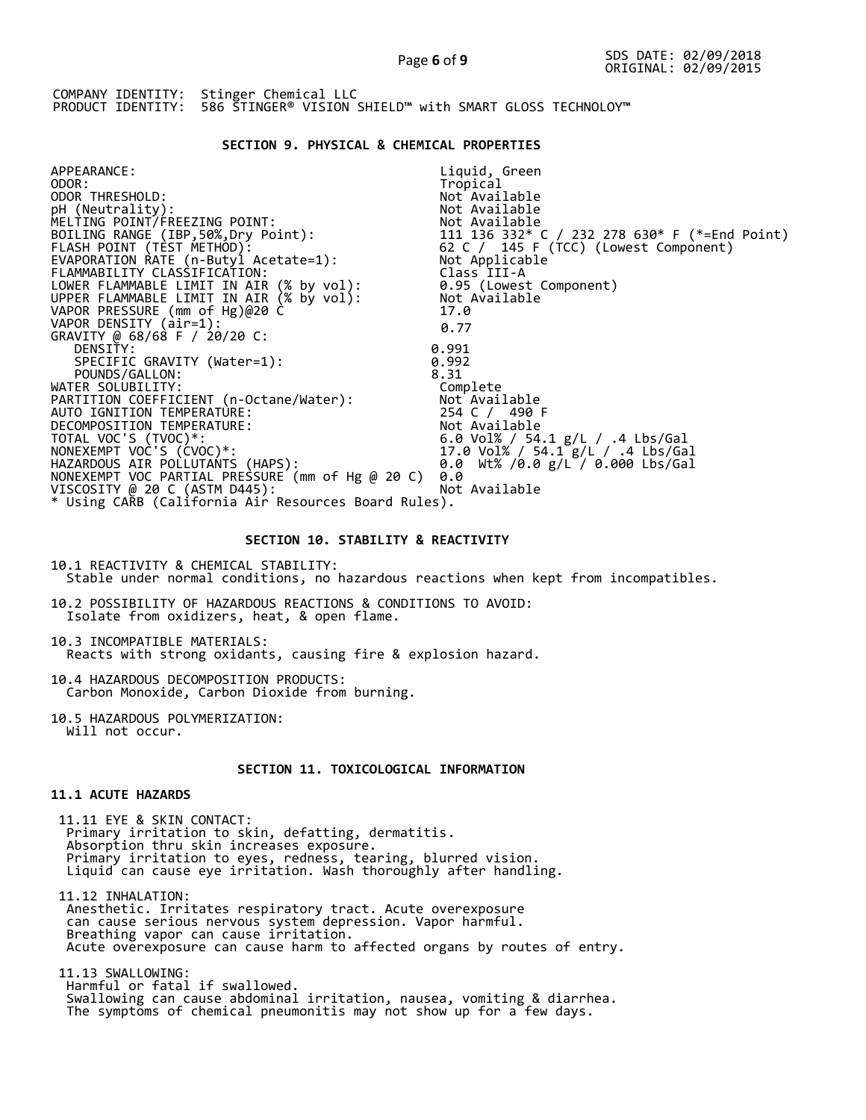### **SECTION 9. PHYSICAL & CHEMICAL PROPERTIES**

| APPEARANCE:                                                                          | Liquid, Green                                                                                |
|--------------------------------------------------------------------------------------|----------------------------------------------------------------------------------------------|
| ODOR:                                                                                | Tropical                                                                                     |
| ODOR THRESHOLD:                                                                      | Not Available                                                                                |
| pH (Neutrality):                                                                     | Not Available                                                                                |
| MELTING POINT/FREEZING POINT:                                                        | Not Available                                                                                |
| BOILING RANGE (IBP,50%,Dry Point):                                                   |                                                                                              |
| FLASH POINT (TÈST METHOD):                                                           | 111  136  332* C / 232  278  630* F (*=End Point)<br>62  C / 145  F (TCC) (Lowest Component) |
| EVAPORATION RATE (n-Butyl Acetate=1):                                                | Not Applicable                                                                               |
| FLAMMABILITY CLASSIFICATION:                                                         | Class III-A                                                                                  |
| LOWER FLAMMABLE LIMIT IN AIR (% by vol):<br>UPPER FLAMMABLE LIMIT IN AIR (% by vol): | 0.95 (Lowest Component)                                                                      |
|                                                                                      | Not Available                                                                                |
| VAPOR PRESSURE (mm of Hg)@20 C                                                       | 17.0                                                                                         |
| VAPOR DENSITY (air=1):                                                               | 0.77                                                                                         |
| GRAVITY @ 68/68 F / 20/20 C:                                                         |                                                                                              |
| DENSITY:                                                                             | 0.991                                                                                        |
| SPECIFIC GRAVITY (Water=1):                                                          | 0.992                                                                                        |
| POUNDS/GALLON:                                                                       | 8.31                                                                                         |
| WATER SOLUBILITY:                                                                    | Complete                                                                                     |
|                                                                                      |                                                                                              |
| AUTO IGNITION TEMPERATURE:                                                           | 254 C / 490 F                                                                                |
| DECOMPOSITION TEMPERATURE:                                                           | Not Available                                                                                |
| TOTAL VOC'S (TVOC)*:                                                                 | 6.0 Vol% / 54.1 g/L / .4 Lbs/Gal                                                             |
| NONEXEMPT VOC'S (CVOC)*:                                                             | 17.0 Vol% / 54.1 g/L / .4 Lbs/Gal                                                            |
| HAZARDOUS AIR POLLUTANTS (HAPS):                                                     | 0.0 Wt% /0.0 g/L / 0.000 Lbs/Gal                                                             |
| NONEXEMPT VOC PARTIAL PRESSURE (mm of Hg @ 20 C)                                     | 0.0                                                                                          |
| VISCOSITY @ 20 C (ASTM D445):                                                        | Not Available                                                                                |
| * Using CARB (California Air Resources Board Rules).                                 |                                                                                              |
|                                                                                      |                                                                                              |

#### **SECTION 10. STABILITY & REACTIVITY**

10.1 REACTIVITY & CHEMICAL STABILITY: Stable under normal conditions, no hazardous reactions when kept from incompatibles.

10.2 POSSIBILITY OF HAZARDOUS REACTIONS & CONDITIONS TO AVOID: Isolate from oxidizers, heat, & open flame.

10.3 INCOMPATIBLE MATERIALS: Reacts with strong oxidants, causing fire & explosion hazard.

10.4 HAZARDOUS DECOMPOSITION PRODUCTS: Carbon Monoxide, Carbon Dioxide from burning.

10.5 HAZARDOUS POLYMERIZATION: Will not occur.

# **SECTION 11. TOXICOLOGICAL INFORMATION**

# **11.1 ACUTE HAZARDS**

 11.11 EYE & SKIN CONTACT: Primary irritation to skin, defatting, dermatitis. Absorption thru skin increases exposure. Primary irritation to eyes, redness, tearing, blurred vision. Liquid can cause eye irritation. Wash thoroughly after handling.

 11.12 INHALATION: Anesthetic. Irritates respiratory tract. Acute overexposure can cause serious nervous system depression. Vapor harmful. Breathing vapor can cause irritation. Acute overexposure can cause harm to affected organs by routes of entry.

 11.13 SWALLOWING: Harmful or fatal if swallowed. Swallowing can cause abdominal irritation, nausea, vomiting & diarrhea. The symptoms of chemical pneumonitis may not show up for a few days.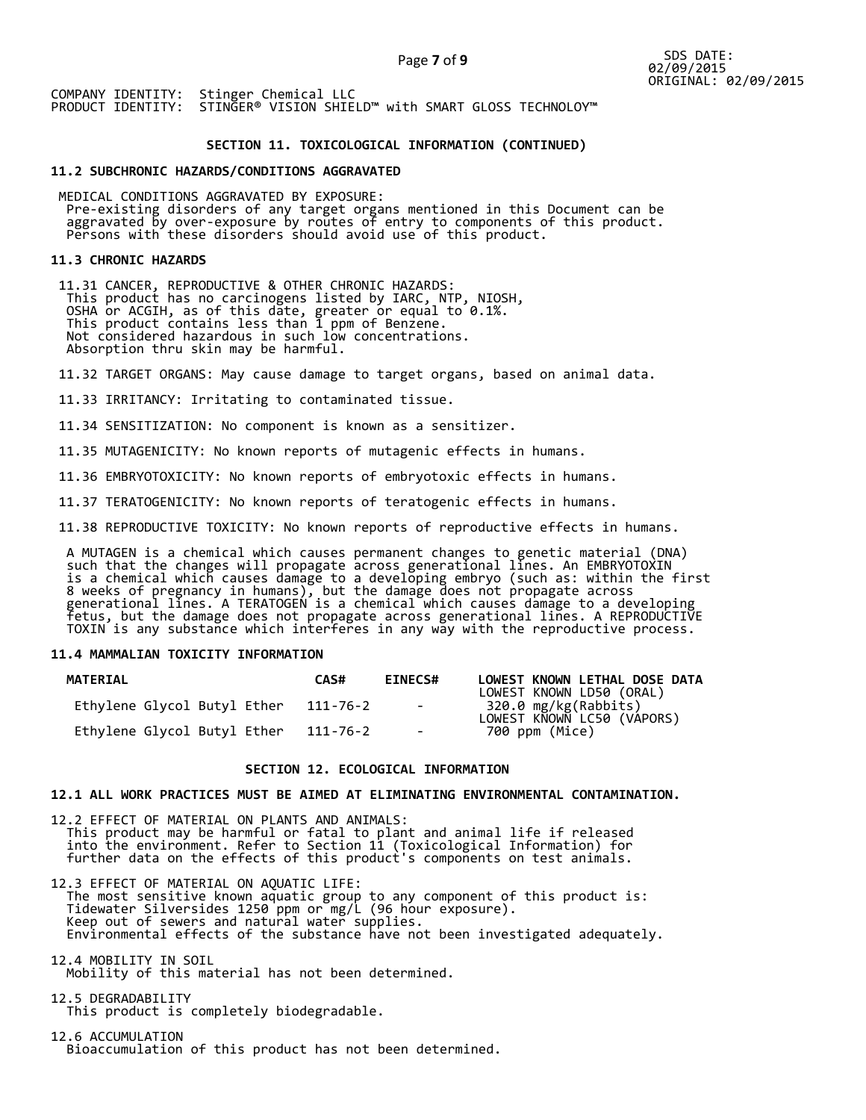### **SECTION 11. TOXICOLOGICAL INFORMATION (CONTINUED)**

#### **11.2 SUBCHRONIC HAZARDS/CONDITIONS AGGRAVATED**

 MEDICAL CONDITIONS AGGRAVATED BY EXPOSURE: Pre-existing disorders of any target organs mentioned in this Document can be aggravated by over-exposure by routes of entry to components of this product. Persons with these disorders should avoid use of this product.

#### **11.3 CHRONIC HAZARDS**

 11.31 CANCER, REPRODUCTIVE & OTHER CHRONIC HAZARDS: This product has no carcinogens listed by IARC, NTP, NIOSH, OSHA or ACGIH, as of this date, greater or equal to 0.1%. This product contains less than 1 ppm of Benzene. Not considered hazardous in such low concentrations. Absorption thru skin may be harmful.

11.32 TARGET ORGANS: May cause damage to target organs, based on animal data.

11.33 IRRITANCY: Irritating to contaminated tissue.

11.34 SENSITIZATION: No component is known as a sensitizer.

11.35 MUTAGENICITY: No known reports of mutagenic effects in humans.

11.36 EMBRYOTOXICITY: No known reports of embryotoxic effects in humans.

11.37 TERATOGENICITY: No known reports of teratogenic effects in humans.

11.38 REPRODUCTIVE TOXICITY: No known reports of reproductive effects in humans.

 A MUTAGEN is a chemical which causes permanent changes to genetic material (DNA) such that the changes will propagate across generational lines. An EMBRYOTOXIN is a chemical which causes damage to a developing embryo (such as: within the first 8 weeks of pregnancy in humans), but the damage does not propagate across generational lines. A TERATOGEN is a chemical which causes damage to a developing fetus, but the damage does not propagate across generational lines. A REPRODUCTIVE TOXIN is any substance which interferes in any way with the reproductive process.

## **11.4 MAMMALIAN TOXICITY INFORMATION**

| <b>MATERIAL</b>             | CAS#     | <b>EINECS#</b> | LOWEST KNOWN LETHAL DOSE DATA<br>LOWEST KNOWN LD50 (ORAL) |
|-----------------------------|----------|----------------|-----------------------------------------------------------|
| Ethylene Glycol Butyl Ether | 111-76-2 | $\sim$ $-$     | 320.0 mg/kg(Rabbits)<br>LOWEST KNOWN LC50 (VAPORS)        |
| Ethylene Glycol Butyl Ether | 111-76-2 | $\sim$         | 700 ppm (Mice)                                            |

### **SECTION 12. ECOLOGICAL INFORMATION**

## **12.1 ALL WORK PRACTICES MUST BE AIMED AT ELIMINATING ENVIRONMENTAL CONTAMINATION.**

12.2 EFFECT OF MATERIAL ON PLANTS AND ANIMALS: This product may be harmful or fatal to plant and animal life if released into the environment. Refer to Section 11 (Toxicological Information) for further data on the effects of this product's components on test animals.

12.3 EFFECT OF MATERIAL ON AQUATIC LIFE: The most sensitive known aquatic group to any component of this product is: Tidewater Silversides 1250 ppm or mg/L (96 hour exposure). Keep out of sewers and natural water supplies. Environmental effects of the substance have not been investigated adequately.

12.4 MOBILITY IN SOIL Mobility of this material has not been determined.

12.5 DEGRADABILITY This product is completely biodegradable.

12.6 ACCUMULATION Bioaccumulation of this product has not been determined.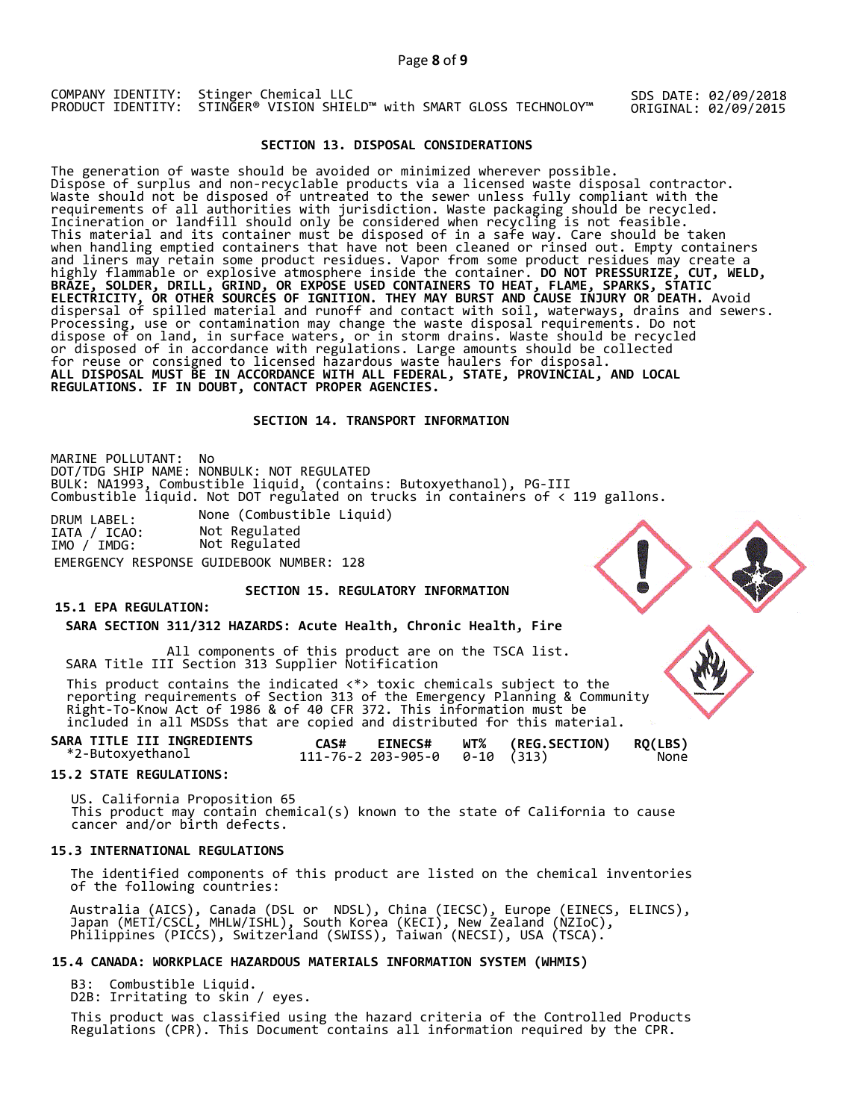SDS DATE: 02/09/2018 ORIGINAL: 02/09/2015

# **SECTION 13. DISPOSAL CONSIDERATIONS**

The generation of waste should be avoided or minimized wherever possible. Dispose of surplus and non-recyclable products via a licensed waste disposal contractor. Waste should not be disposed of untreated to the sewer unless fully compliant with the requirements of all authorities with jurisdiction. Waste packaging should be recycled. Incineration or landfill should only be considered when recycling is not feasible. This material and its container must be disposed of in a safe way. Care should be taken when handling emptied containers that have not been cleaned or rinsed out. Empty containers and liners may retain some product residues. Vapor from some product residues may create a highly flammable or explosive atmosphere inside the container. **DO NOT PRESSURIZE, CUT, WELD, BRAZE, SOLDER, DRILL, GRIND, OR EXPOSE USED CONTAINERS TO HEAT, FLAME, SPARKS, STATIC ELECTRICITY, OR OTHER SOURCES OF IGNITION. THEY MAY BURST AND CAUSE INJURY OR DEATH.** Avoid dispersal of spilled material and runoff and contact with soil, waterways, drains and sewers. Processing, use or contamination may change the waste disposal requirements. Do not dispose of on land, in surface waters, or in storm drains. Waste should be recycled or disposed of in accordance with regulations. Large amounts should be collected for reuse or consigned to licensed hazardous waste haulers for disposal. **ALL DISPOSAL MUST BE IN ACCORDANCE WITH ALL FEDERAL, STATE, PROVINCIAL, AND LOCAL REGULATIONS. IF IN DOUBT, CONTACT PROPER AGENCIES.** 

## **SECTION 14. TRANSPORT INFORMATION**

MARINE POLLUTANT: No DOT/TDG SHIP NAME: NONBULK: NOT REGULATED BULK: NA1993, Combustible liquid, (contains: Butoxyethanol), PG-III Combustible liquid. Not DOT regulated on trucks in containers of < 119 gallons.

DRUM LABEL: None (Combustible Liquid)<br>IATA / ICAO: Not Regulated IATA / ICAO: Not Regulated IMO / IMDG: Not Regulated EMERGENCY RESPONSE GUIDEBOOK NUMBER: 128

#### **SECTION 15. REGULATORY INFORMATION**

## **15.1 EPA REGULATION:**

 **SARA SECTION 311/312 HAZARDS: Acute Health, Chronic Health, Fire** 

All components of this product are on the TSCA list. SARA Title III Section 313 Supplier Notification

This product contains the indicated  $\langle * \rangle$  toxic chemicals subject to the reporting requirements of Section 313 of the Emergency Planning & Community Right-To-Know Act of 1986 & of 40 CFR 372. This information must be included in all MSDSs that are copied and distributed for this material.

| SARA TITLE III INGREDIENTS | CAS# | <b>EINECS#</b>                         | WT% (REG.SECTION) RQ(LBS) |      |
|----------------------------|------|----------------------------------------|---------------------------|------|
| *2-Butoxyethanol           |      | $111 - 76 - 2203 - 905 - 00 - 10(313)$ |                           | None |

#### **15.2 STATE REGULATIONS:**

US. California Proposition 65 This product may contain chemical(s) known to the state of California to cause cancer and/or birth defects.

#### **15.3 INTERNATIONAL REGULATIONS**

 The identified components of this product are listed on the chemical inventories of the following countries:

 Australia (AICS), Canada (DSL or NDSL), China (IECSC), Europe (EINECS, ELINCS), Japan (METI/CSCL, MHLW/ISHL), South Korea (KECI), New Zealand (NZIoC), Philippines (PICCS), Switzerland (SWISS), Taiwan (NECSI), USA (TSCA).

### **15.4 CANADA: WORKPLACE HAZARDOUS MATERIALS INFORMATION SYSTEM (WHMIS)**

B3: Combustible Liquid.

D2B: Irritating to skin / eyes.

 This product was classified using the hazard criteria of the Controlled Products Regulations (CPR). This Document contains all information required by the CPR.